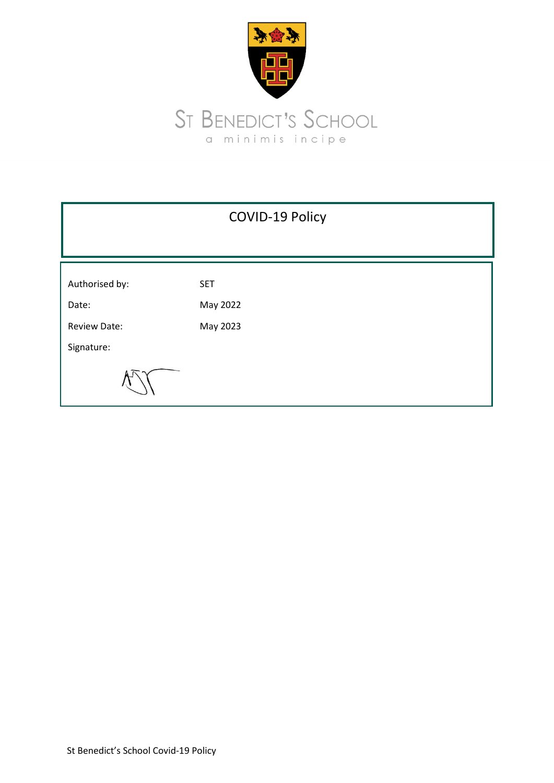

|                     | <b>COVID-19 Policy</b> |
|---------------------|------------------------|
|                     |                        |
| Authorised by:      | <b>SET</b>             |
| Date:               | May 2022               |
| <b>Review Date:</b> | May 2023               |
| Signature:          |                        |
|                     |                        |